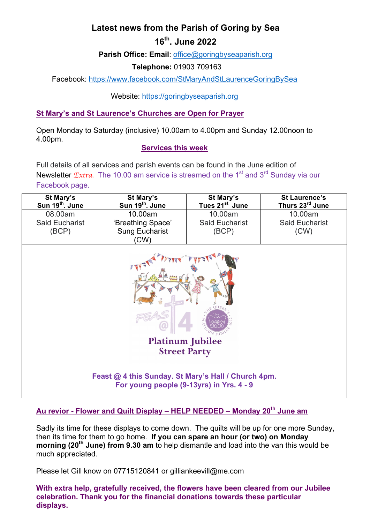# **Latest news from the Parish of Goring by Sea**

# **16th. June 2022**

**Parish Office: Email**: office@goringbyseaparish.org

**Telephone:** 01903 709163

Facebook: https://www.facebook.com/StMaryAndStLaurenceGoringBySea

Website: https://goringbyseaparish.org

# **St Mary's and St Laurence's Churches are Open for Prayer**

Open Monday to Saturday (inclusive) 10.00am to 4.00pm and Sunday 12.00noon to 4.00pm.

### **Services this week**

Full details of all services and parish events can be found in the June edition of Newsletter *Extra*. The 10.00 am service is streamed on the 1<sup>st</sup> and 3<sup>rd</sup> Sunday via our Facebook page.

| St Mary's<br>Sun 19 <sup>th</sup> . June         | St Mary's<br>Sun 19 <sup>th</sup> . June | St Mary's<br>Tues 21 <sup>st</sup> June | <b>St Laurence's</b><br>Thurs 23rd June |
|--------------------------------------------------|------------------------------------------|-----------------------------------------|-----------------------------------------|
| 08.00am                                          | 10.00am                                  | 10.00am                                 | 10.00am                                 |
| Said Eucharist                                   | 'Breathing Space'                        | <b>Said Eucharist</b>                   | <b>Said Eucharist</b>                   |
| (BCP)                                            | <b>Sung Eucharist</b>                    | (BCP)                                   | (CW)                                    |
|                                                  | (CW)                                     |                                         |                                         |
| $\frac{1}{2}$ $\frac{1}{2}$<br>$\mathscr{A}$ the |                                          |                                         |                                         |



# **Au revior - Flower and Quilt Display – HELP NEEDED – Monday 20th June am**

Sadly its time for these displays to come down. The quilts will be up for one more Sunday, then its time for them to go home. **If you can spare an hour (or two) on Monday morning (20th June) from 9.30 am** to help dismantle and load into the van this would be much appreciated.

Please let Gill know on 07715120841 or gilliankeevill@me.com

**With extra help, gratefully received, the flowers have been cleared from our Jubilee celebration. Thank you for the financial donations towards these particular displays.**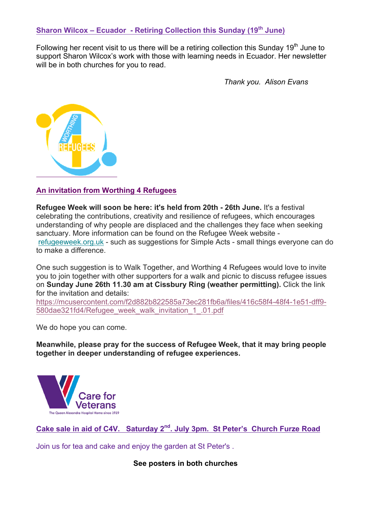# **Sharon Wilcox – Ecuador - Retiring Collection this Sunday (19th June)**

Following her recent visit to us there will be a retiring collection this Sunday  $19<sup>th</sup>$  June to support Sharon Wilcox's work with those with learning needs in Ecuador. Her newsletter will be in both churches for you to read.

*Thank you. Alison Evans*



#### **An invitation from Worthing 4 Refugees**

**Refugee Week will soon be here: it's held from 20th - 26th June.** It's a festival celebrating the contributions, creativity and resilience of refugees, which encourages understanding of why people are displaced and the challenges they face when seeking sanctuary. More information can be found on the Refugee Week website refugeeweek.org.uk - such as suggestions for Simple Acts - small things everyone can do to make a difference.

One such suggestion is to Walk Together, and Worthing 4 Refugees would love to invite you to join together with other supporters for a walk and picnic to discuss refugee issues on **Sunday June 26th 11.30 am at Cissbury Ring (weather permitting).** Click the link for the invitation and details:

https://mcusercontent.com/f2d882b822585a73ec281fb6a/files/416c58f4-48f4-1e51-dff9- 580dae321fd4/Refugee\_week\_walk\_invitation\_1\_.01.pdf

We do hope you can come.

**Meanwhile, please pray for the success of Refugee Week, that it may bring people together in deeper understanding of refugee experiences.**



**Cake sale in aid of C4V. Saturday 2nd. July 3pm. St Peter's Church Furze Road**

Join us for tea and cake and enjoy the garden at St Peter's .

#### **See posters in both churches**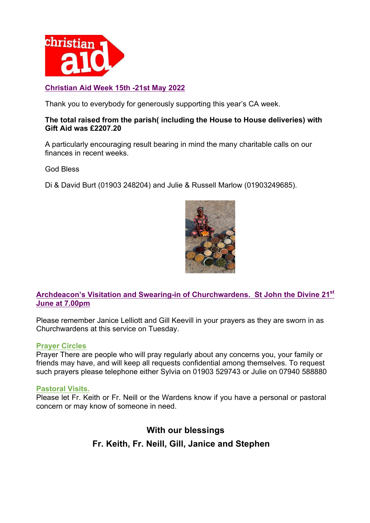

## **Christian Aid Week 15th -21st May 2022**

Thank you to everybody for generously supporting this year's CA week.

#### **The total raised from the parish( including the House to House deliveries) with Gift Aid was £2207.20**

A particularly encouraging result bearing in mind the many charitable calls on our finances in recent weeks.

God Bless

Di & David Burt (01903 248204) and Julie & Russell Marlow (01903249685).



**Archdeacon's Visitation and Swearing-in of Churchwardens. St John the Divine 21st June at 7.00pm**

Please remember Janice Lelliott and Gill Keevill in your prayers as they are sworn in as Churchwardens at this service on Tuesday.

### **Prayer Circles**

Prayer There are people who will pray regularly about any concerns you, your family or friends may have, and will keep all requests confidential among themselves. To request such prayers please telephone either Sylvia on 01903 529743 or Julie on 07940 588880

#### **Pastoral Visits.**

Please let Fr. Keith or Fr. Neill or the Wardens know if you have a personal or pastoral concern or may know of someone in need.

# **With our blessings Fr. Keith, Fr. Neill, Gill, Janice and Stephen**